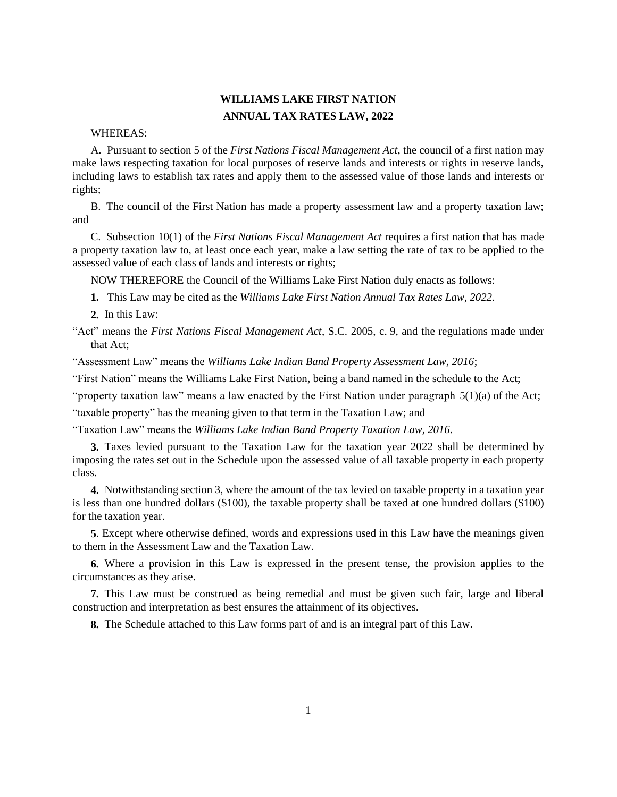## **WILLIAMS LAKE FIRST NATION ANNUAL TAX RATES LAW, 2022**

## WHEREAS:

A. Pursuant to section 5 of the *First Nations Fiscal Management Act*, the council of a first nation may make laws respecting taxation for local purposes of reserve lands and interests or rights in reserve lands, including laws to establish tax rates and apply them to the assessed value of those lands and interests or rights;

B. The council of the First Nation has made a property assessment law and a property taxation law; and

C. Subsection 10(1) of the *First Nations Fiscal Management Act* requires a first nation that has made a property taxation law to, at least once each year, make a law setting the rate of tax to be applied to the assessed value of each class of lands and interests or rights;

NOW THEREFORE the Council of the Williams Lake First Nation duly enacts as follows:

**1.** This Law may be cited as the *Williams Lake First Nation Annual Tax Rates Law*, *2022*.

**2.** In this Law:

"Act" means the *First Nations Fiscal Management Act*, S.C. 2005, c. 9, and the regulations made under that Act;

"Assessment Law" means the *Williams Lake Indian Band Property Assessment Law, 2016*;

"First Nation" means the Williams Lake First Nation, being a band named in the schedule to the Act;

"property taxation law" means a law enacted by the First Nation under paragraph  $5(1)(a)$  of the Act;

"taxable property" has the meaning given to that term in the Taxation Law; and

"Taxation Law" means the *Williams Lake Indian Band Property Taxation Law, 2016*.

**3.** Taxes levied pursuant to the Taxation Law for the taxation year 2022 shall be determined by imposing the rates set out in the Schedule upon the assessed value of all taxable property in each property class.

**4.** Notwithstanding section 3, where the amount of the tax levied on taxable property in a taxation year is less than one hundred dollars (\$100), the taxable property shall be taxed at one hundred dollars (\$100) for the taxation year.

**5**. Except where otherwise defined, words and expressions used in this Law have the meanings given to them in the Assessment Law and the Taxation Law.

**6.** Where a provision in this Law is expressed in the present tense, the provision applies to the circumstances as they arise.

**7.** This Law must be construed as being remedial and must be given such fair, large and liberal construction and interpretation as best ensures the attainment of its objectives.

**8.** The Schedule attached to this Law forms part of and is an integral part of this Law.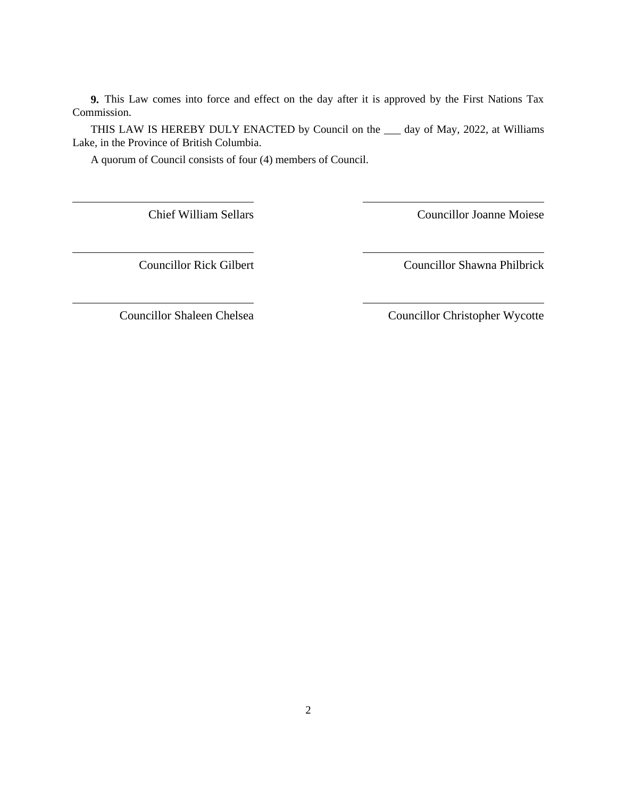**9.** This Law comes into force and effect on the day after it is approved by the First Nations Tax Commission.

THIS LAW IS HEREBY DULY ENACTED by Council on the \_\_\_ day of May, 2022, at Williams Lake, in the Province of British Columbia.

A quorum of Council consists of four (4) members of Council.

Chief William Sellars Councillor Joanne Moiese

Councillor Rick Gilbert Councillor Shawna Philbrick

Councillor Shaleen Chelsea Councillor Christopher Wycotte